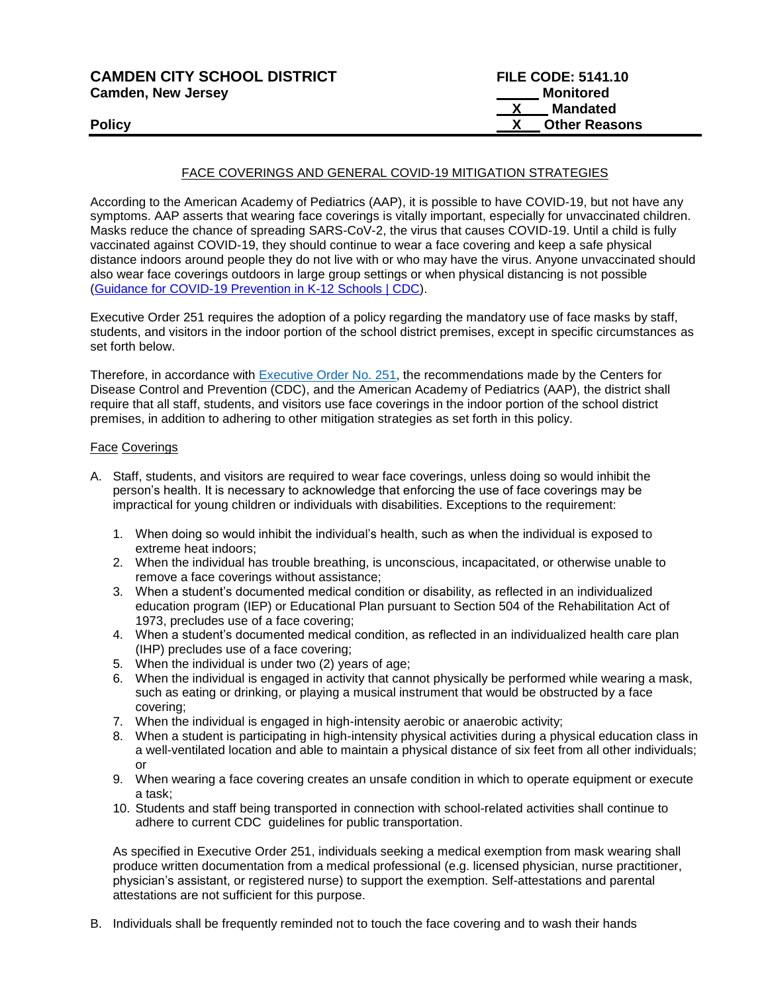| <b>CAMDEN CITY SCHOOL DISTRICT</b> | <b>FILE CODE: 5141.10</b> |
|------------------------------------|---------------------------|
| <b>Camden, New Jersey</b>          | Monitored                 |
|                                    | <b>Mandated</b>           |
| <b>Policy</b>                      | <b>X</b> Other Reasons    |
|                                    |                           |

#### FACE COVERINGS AND GENERAL COVID-19 MITIGATION STRATEGIES

According to the American Academy of Pediatrics (AAP), it is possible to have COVID-19, but not have any symptoms. AAP asserts that wearing face coverings is vitally important, especially for unvaccinated children. Masks reduce the chance of spreading SARS-CoV-2, the virus that causes COVID-19. Until a child is fully vaccinated against COVID-19, they should continue to wear a face covering and keep a safe physical distance indoors around people they do not live with or who may have the virus. Anyone unvaccinated should also wear face coverings outdoors in large group settings or when physical distancing is not possible [\(Guidance for COVID-19 Prevention in K-12 Schools | CDC\)](https://www.cdc.gov/coronavirus/2019-ncov/community/schools-childcare/k-12-guidance.html).

Executive Order 251 requires the adoption of a policy regarding the mandatory use of face masks by staff, students, and visitors in the indoor portion of the school district premises, except in specific circumstances as set forth below.

Therefore, in accordance with [Executive Order](https://nj.gov/infobank/eo/056murphy/pdf/EO-251.pdf) No. 251, the recommendations made by the Centers for Disease Control and Prevention (CDC), and the American Academy of Pediatrics (AAP), the district shall require that all staff, students, and visitors use face coverings in the indoor portion of the school district premises, in addition to adhering to other mitigation strategies as set forth in this policy.

#### Face Coverings

- A. Staff, students, and visitors are required to wear face coverings, unless doing so would inhibit the person's health. It is necessary to acknowledge that enforcing the use of face coverings may be impractical for young children or individuals with disabilities. Exceptions to the requirement:
	- 1. When doing so would inhibit the individual's health, such as when the individual is exposed to extreme heat indoors;
	- 2. When the individual has trouble breathing, is unconscious, incapacitated, or otherwise unable to remove a face coverings without assistance;
	- 3. When a student's documented medical condition or disability, as reflected in an individualized education program (IEP) or Educational Plan pursuant to Section 504 of the Rehabilitation Act of 1973, precludes use of a face covering;
	- 4. When a student's documented medical condition, as reflected in an individualized health care plan (IHP) precludes use of a face covering;
	- 5. When the individual is under two (2) years of age;
	- 6. When the individual is engaged in activity that cannot physically be performed while wearing a mask, such as eating or drinking, or playing a musical instrument that would be obstructed by a face covering;
	- 7. When the individual is engaged in high-intensity aerobic or anaerobic activity;
	- 8. When a student is participating in high-intensity physical activities during a physical education class in a well-ventilated location and able to maintain a physical distance of six feet from all other individuals; or
	- 9. When wearing a face covering creates an unsafe condition in which to operate equipment or execute a task;
	- 10. Students and staff being transported in connection with school-related activities shall continue to adhere to current CDC guidelines for public transportation.

As specified in Executive Order 251, individuals seeking a medical exemption from mask wearing shall produce written documentation from a medical professional (e.g. licensed physician, nurse practitioner, physician's assistant, or registered nurse) to support the exemption. Self-attestations and parental attestations are not sufficient for this purpose.

B. Individuals shall be frequently reminded not to touch the face covering and to wash their hands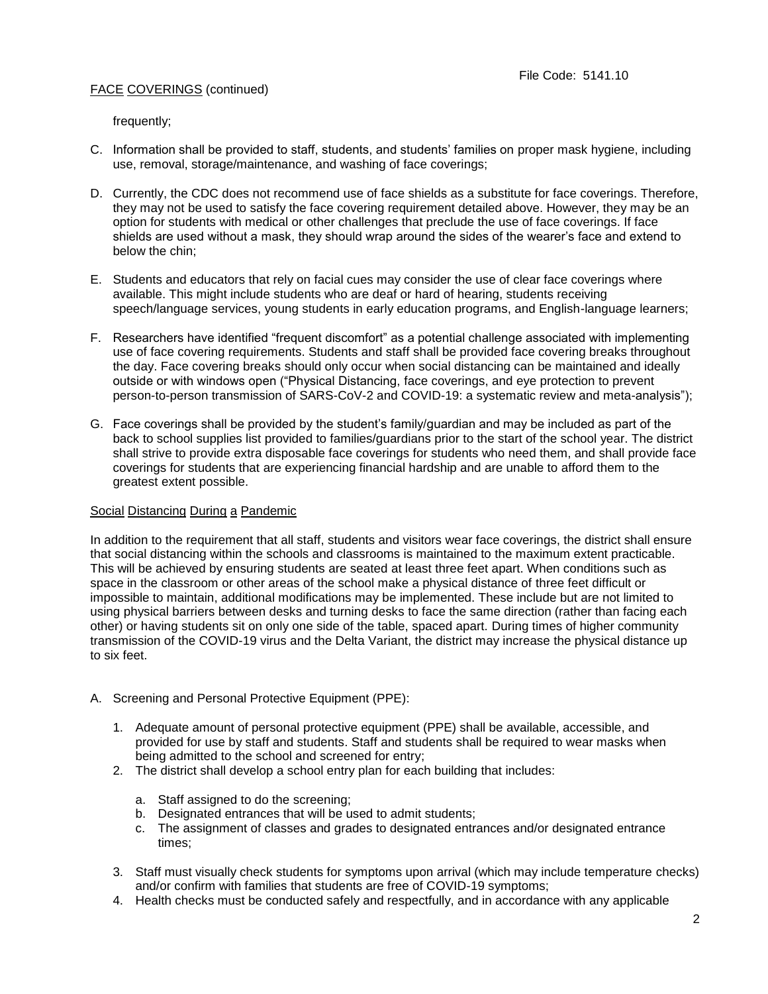frequently;

- C. Information shall be provided to staff, students, and students' families on proper mask hygiene, including use, removal, storage/maintenance, and washing of face coverings;
- D. Currently, the CDC does not recommend use of face shields as a substitute for face coverings. Therefore, they may not be used to satisfy the face covering requirement detailed above. However, they may be an option for students with medical or other challenges that preclude the use of face coverings. If face shields are used without a mask, they should wrap around the sides of the wearer's face and extend to below the chin;
- E. Students and educators that rely on facial cues may consider the use of clear face coverings where available. This might include students who are deaf or hard of hearing, students receiving speech/language services, young students in early education programs, and English-language learners;
- F. Researchers have identified "frequent discomfort" as a potential challenge associated with implementing use of face covering requirements. Students and staff shall be provided face covering breaks throughout the day. Face covering breaks should only occur when social distancing can be maintained and ideally outside or with windows open ("Physical Distancing, face coverings, and eye protection to prevent person-to-person transmission of SARS-CoV-2 and COVID-19: a systematic review and meta-analysis");
- G. Face coverings shall be provided by the student's family/guardian and may be included as part of the back to school supplies list provided to families/guardians prior to the start of the school year. The district shall strive to provide extra disposable face coverings for students who need them, and shall provide face coverings for students that are experiencing financial hardship and are unable to afford them to the greatest extent possible.

#### Social Distancing During a Pandemic

In addition to the requirement that all staff, students and visitors wear face coverings, the district shall ensure that social distancing within the schools and classrooms is maintained to the maximum extent practicable. This will be achieved by ensuring students are seated at least three feet apart. When conditions such as space in the classroom or other areas of the school make a physical distance of three feet difficult or impossible to maintain, additional modifications may be implemented. These include but are not limited to using physical barriers between desks and turning desks to face the same direction (rather than facing each other) or having students sit on only one side of the table, spaced apart. During times of higher community transmission of the COVID-19 virus and the Delta Variant, the district may increase the physical distance up to six feet.

- A. Screening and Personal Protective Equipment (PPE):
	- 1. Adequate amount of personal protective equipment (PPE) shall be available, accessible, and provided for use by staff and students. Staff and students shall be required to wear masks when being admitted to the school and screened for entry;
	- 2. The district shall develop a school entry plan for each building that includes:
		- a. Staff assigned to do the screening;
		- b. Designated entrances that will be used to admit students;
		- c. The assignment of classes and grades to designated entrances and/or designated entrance times;
	- 3. Staff must visually check students for symptoms upon arrival (which may include temperature checks) and/or confirm with families that students are free of COVID-19 symptoms;
	- 4. Health checks must be conducted safely and respectfully, and in accordance with any applicable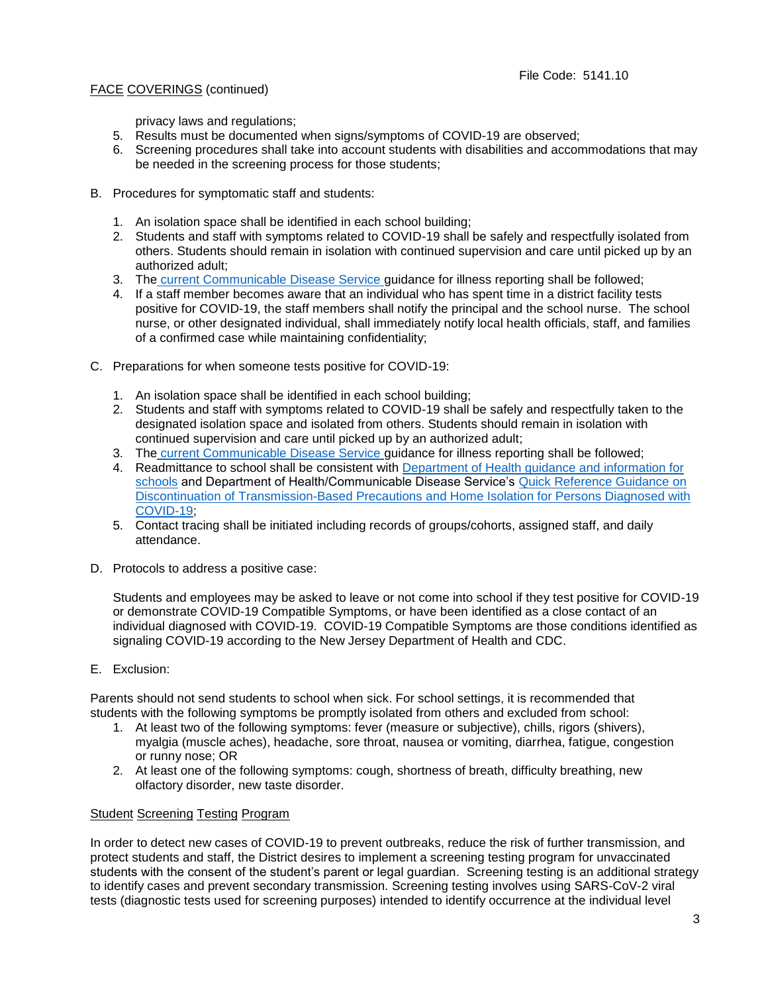privacy laws and regulations;

- 5. Results must be documented when signs/symptoms of COVID-19 are observed;
- 6. Screening procedures shall take into account students with disabilities and accommodations that may be needed in the screening process for those students;
- B. Procedures for symptomatic staff and students:
	- 1. An isolation space shall be identified in each school building;
	- 2. Students and staff with symptoms related to COVID-19 shall be safely and respectfully isolated from others. Students should remain in isolation with continued supervision and care until picked up by an authorized adult;
	- 3. The [current Communicable Disease Service g](https://www.nj.gov/health/cd/)uidance for illness reporting shall be followed;
	- 4. If a staff member becomes aware that an individual who has spent time in a district facility tests positive for COVID-19, the staff members shall notify the principal and the school nurse. The school nurse, or other designated individual, shall immediately notify local health officials, staff, and families of a confirmed case while maintaining confidentiality;
- C. Preparations for when someone tests positive for COVID-19:
	- 1. An isolation space shall be identified in each school building;
	- 2. Students and staff with symptoms related to COVID-19 shall be safely and respectfully taken to the designated isolation space and isolated from others. Students should remain in isolation with continued supervision and care until picked up by an authorized adult;
	- 3. The [current Communicable Disease Service g](https://www.nj.gov/health/cd/)uidance for illness reporting shall be followed;
	- 4. Readmittance to school shall be consistent with [Department of Health guidance and information for](https://www.state.nj.us/health/cd/topics/covid2019_schools.shtml)  [schools](https://www.state.nj.us/health/cd/topics/covid2019_schools.shtml) and Department of Health/Communicable Disease Service's [Quick Reference Guidance on](https://www.nj.gov/health/cd/documents/topics/NCOV/COVID-QuickRef_Discont_Isolation_and_TBP.pdf)  [Discontinuation of Transmission-Based Precautions and Home Isolation for Persons Diagnosed with](https://www.nj.gov/health/cd/documents/topics/NCOV/COVID-QuickRef_Discont_Isolation_and_TBP.pdf)  [COVID-19;](https://www.nj.gov/health/cd/documents/topics/NCOV/COVID-QuickRef_Discont_Isolation_and_TBP.pdf)
	- 5. Contact tracing shall be initiated including records of groups/cohorts, assigned staff, and daily attendance.
- D. Protocols to address a positive case:

Students and employees may be asked to leave or not come into school if they test positive for COVID-19 or demonstrate COVID-19 Compatible Symptoms, or have been identified as a close contact of an individual diagnosed with COVID-19. COVID-19 Compatible Symptoms are those conditions identified as signaling COVID-19 according to the New Jersey Department of Health and CDC.

E. Exclusion:

Parents should not send students to school when sick. For school settings, it is recommended that students with the following symptoms be promptly isolated from others and excluded from school:

- 1. At least two of the following symptoms: fever (measure or subjective), chills, rigors (shivers), myalgia (muscle aches), headache, sore throat, nausea or vomiting, diarrhea, fatigue, congestion or runny nose; OR
- 2. At least one of the following symptoms: cough, shortness of breath, difficulty breathing, new olfactory disorder, new taste disorder.

#### Student Screening Testing Program

In order to detect new cases of COVID-19 to prevent outbreaks, reduce the risk of further transmission, and protect students and staff, the District desires to implement a screening testing program for unvaccinated students with the consent of the student's parent or legal guardian. Screening testing is an additional strategy to identify cases and prevent secondary transmission. Screening testing involves using SARS-CoV-2 viral tests (diagnostic tests used for screening purposes) intended to identify occurrence at the individual level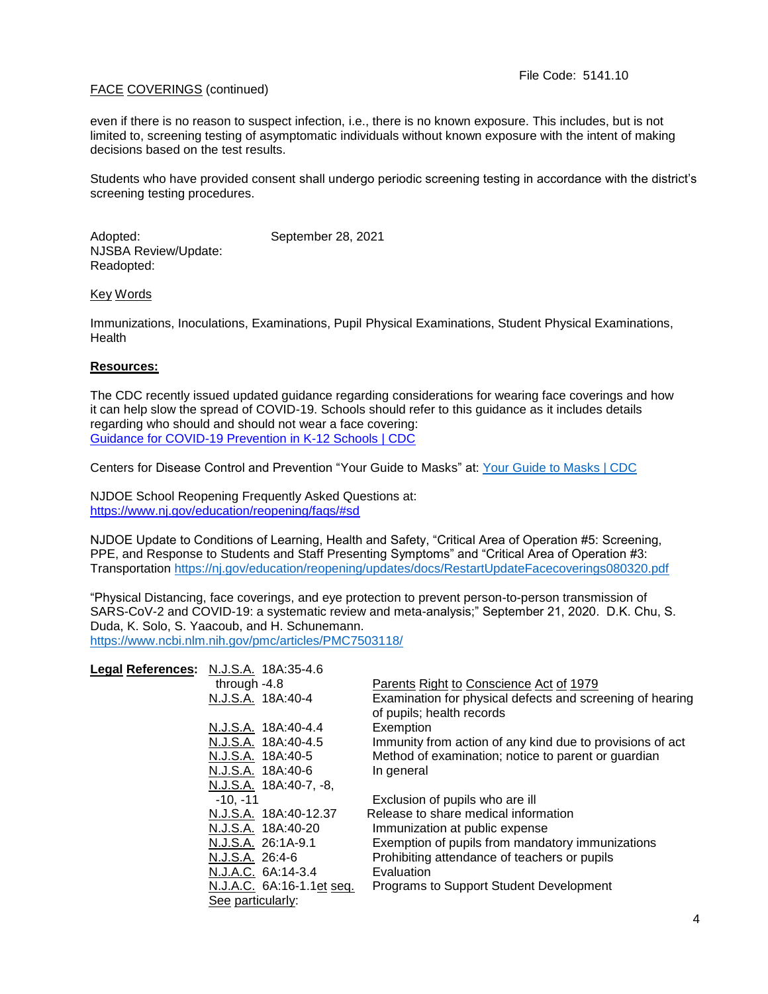even if there is no reason to suspect infection, i.e., there is no known exposure. This includes, but is not limited to, screening testing of asymptomatic individuals without known exposure with the intent of making decisions based on the test results.

Students who have provided consent shall undergo periodic screening testing in accordance with the district's screening testing procedures.

Adopted: September 28, 2021 NJSBA Review/Update: Readopted:

Key Words

Immunizations, Inoculations, Examinations, Pupil Physical Examinations, Student Physical Examinations, **Health** 

### **Resources:**

The CDC recently issued updated guidance regarding considerations for wearing face coverings and how it can help slow the spread of COVID-19. Schools should refer to this guidance as it includes details regarding who should and should not wear a face covering: [Guidance for COVID-19 Prevention in K-12 Schools | CDC](https://www.cdc.gov/coronavirus/2019-ncov/community/schools-childcare/k-12-guidance.html)

Centers for Disease Control and Prevention "Your Guide to Masks" at: [Your Guide to Masks | CDC](https://www.cdc.gov/coronavirus/2019-ncov/prevent-getting-sick/about-face-coverings.html)

NJDOE School Reopening Frequently Asked Questions at: <https://www.nj.gov/education/reopening/faqs/#sd>

NJDOE Update to Conditions of Learning, Health and Safety, "Critical Area of Operation #5: Screening, PPE, and Response to Students and Staff Presenting Symptoms" and "Critical Area of Operation #3: Transportation <https://nj.gov/education/reopening/updates/docs/RestartUpdateFacecoverings080320.pdf>

"Physical Distancing, face coverings, and eye protection to prevent person-to-person transmission of SARS-CoV-2 and COVID-19: a systematic review and meta-analysis;" September 21, 2020. D.K. Chu, S. Duda, K. Solo, S. Yaacoub, and H. Schunemann. <https://www.ncbi.nlm.nih.gov/pmc/articles/PMC7503118/>

| Legal References: N.J.S.A. 18A:35-4.6 |                                                                                        |
|---------------------------------------|----------------------------------------------------------------------------------------|
| through $-4.8$                        | Parents Right to Conscience Act of 1979                                                |
| N.J.S.A. 18A:40-4                     | Examination for physical defects and screening of hearing<br>of pupils; health records |
| N.J.S.A. 18A:40-4.4                   | Exemption                                                                              |
| N.J.S.A. 18A:40-4.5                   | Immunity from action of any kind due to provisions of act                              |
| N.J.S.A. 18A:40-5                     | Method of examination; notice to parent or guardian                                    |
| N.J.S.A. 18A:40-6                     | In general                                                                             |
| N.J.S.A. 18A:40-7, -8,                |                                                                                        |
| $-10. -11$                            | Exclusion of pupils who are ill                                                        |
| N.J.S.A. 18A:40-12.37                 | Release to share medical information                                                   |
| N.J.S.A. 18A:40-20                    | Immunization at public expense                                                         |
| N.J.S.A. 26:1A-9.1                    | Exemption of pupils from mandatory immunizations                                       |
| N.J.S.A. 26:4-6                       | Prohibiting attendance of teachers or pupils                                           |
| N.J.A.C. 6A:14-3.4                    | Evaluation                                                                             |
| N.J.A.C. 6A:16-1.1et seq.             | Programs to Support Student Development                                                |
| See particularly:                     |                                                                                        |